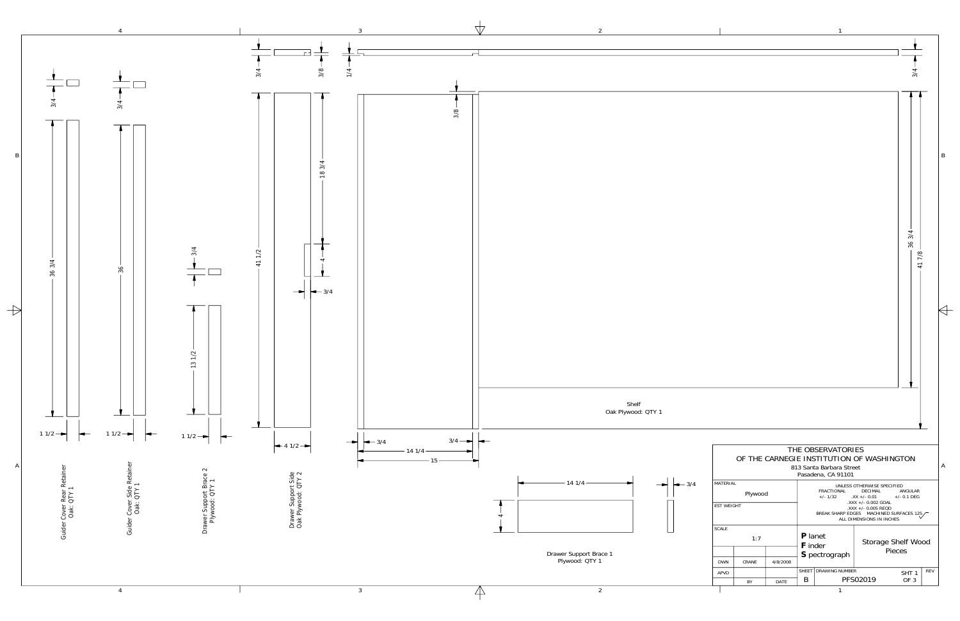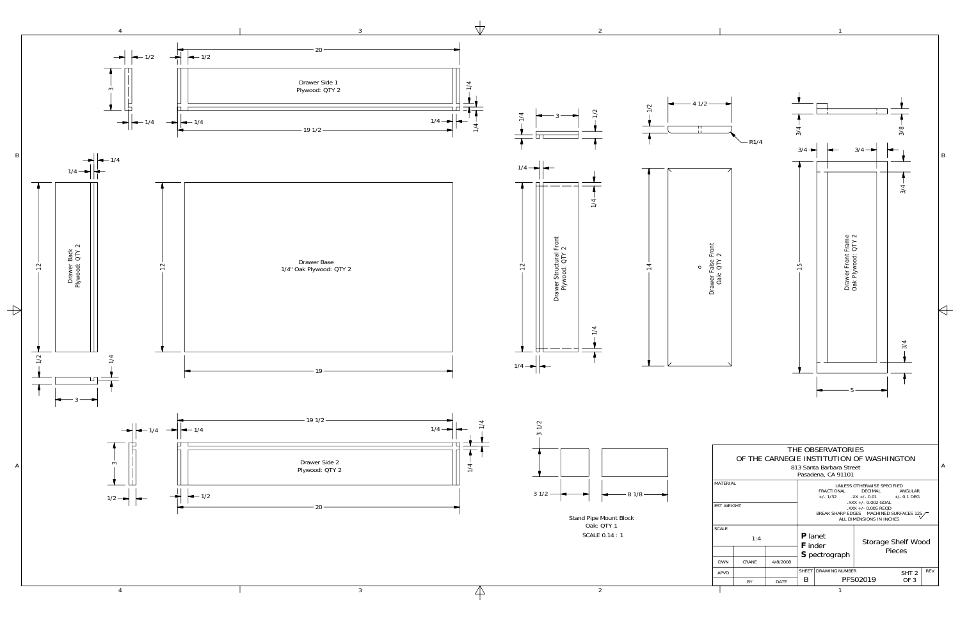| MATERIAL<br><b>FST WFIGHT</b> |       |          | UNI FSS OTHERWISE SPECIFIED<br>FRACTIONAL<br>DECIMAL<br>ANGULAR<br>$+/- 1/32$ $.XX +/- 0.01$ $+/- 0.1$ DEG<br>.XXX +/- 0.002 GOAL<br>$\lambda$ XXX +/- 0.005 REQD<br>BREAK SHARP EDGES MACHINED SURFACES 125<br>ALL DIMENSIONS IN INCHES |  |                              |                  |            |
|-------------------------------|-------|----------|------------------------------------------------------------------------------------------------------------------------------------------------------------------------------------------------------------------------------------------|--|------------------------------|------------------|------------|
| <b>SCALE</b>                  | 1:4   |          | <b>P</b> lanet<br><b>F</b> inder<br>S pectrograph                                                                                                                                                                                        |  | Storage Shelf Wood<br>Pieces |                  |            |
| <b>DWN</b>                    | CRANE | 4/8/2008 |                                                                                                                                                                                                                                          |  |                              |                  |            |
| <b>APVD</b>                   |       |          | <b>DRAWING NUMBER</b><br><b>SHFFT</b>                                                                                                                                                                                                    |  |                              | SHT <sub>2</sub> | <b>REV</b> |
|                               | BY    | DATE     | В                                                                                                                                                                                                                                        |  | PFS02019                     | OF 3             |            |
|                               |       |          |                                                                                                                                                                                                                                          |  |                              |                  |            |



4